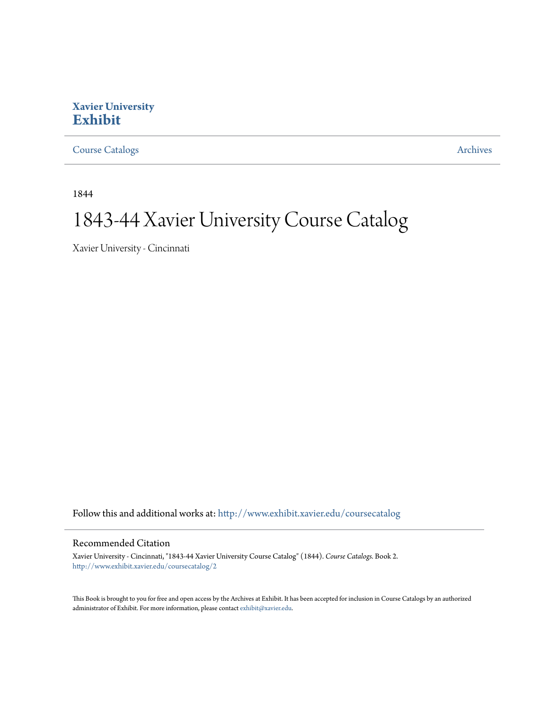# **Xavier University [Exhibit](http://www.exhibit.xavier.edu?utm_source=www.exhibit.xavier.edu%2Fcoursecatalog%2F2&utm_medium=PDF&utm_campaign=PDFCoverPages)**

[Course Catalogs](http://www.exhibit.xavier.edu/coursecatalog?utm_source=www.exhibit.xavier.edu%2Fcoursecatalog%2F2&utm_medium=PDF&utm_campaign=PDFCoverPages) **[Archives](http://www.exhibit.xavier.edu/archives?utm_source=www.exhibit.xavier.edu%2Fcoursecatalog%2F2&utm_medium=PDF&utm_campaign=PDFCoverPages)** Archives

1844

# 1843-44 Xavier University Course Catalog

Xavier University - Cincinnati

Follow this and additional works at: [http://www.exhibit.xavier.edu/coursecatalog](http://www.exhibit.xavier.edu/coursecatalog?utm_source=www.exhibit.xavier.edu%2Fcoursecatalog%2F2&utm_medium=PDF&utm_campaign=PDFCoverPages)

### Recommended Citation

Xavier University - Cincinnati, "1843-44 Xavier University Course Catalog" (1844). *Course Catalogs.* Book 2. [http://www.exhibit.xavier.edu/coursecatalog/2](http://www.exhibit.xavier.edu/coursecatalog/2?utm_source=www.exhibit.xavier.edu%2Fcoursecatalog%2F2&utm_medium=PDF&utm_campaign=PDFCoverPages)

This Book is brought to you for free and open access by the Archives at Exhibit. It has been accepted for inclusion in Course Catalogs by an authorized administrator of Exhibit. For more information, please contact [exhibit@xavier.edu](mailto:exhibit@xavier.edu).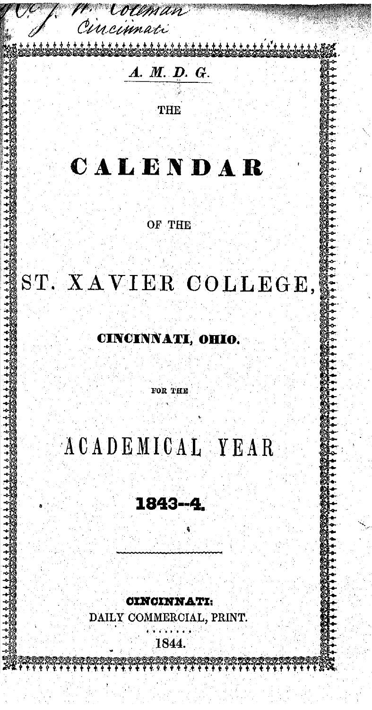cissimati

Coleman

# A. M. D. G.

THE

# CALENDAR

OF THE

# ST. XAVIER COLLEGE,

#### CINCINNATI, OHIO.

FOR THE

# ACADEMICAL YEAR

# 1843-4.

**CINCINNATI:** 

DAILY COMMERCIAL, PRINT.

1844.

HA HA HASK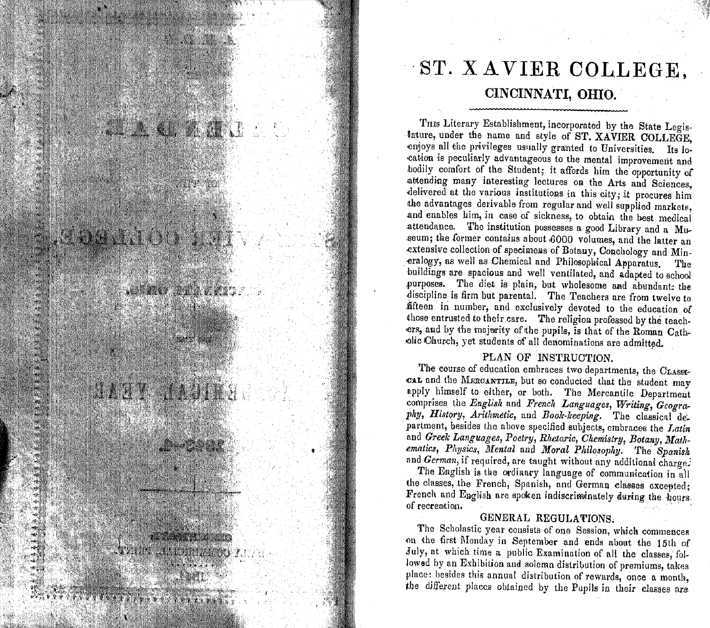

# ST. XAVIER COLLEGE. CINCINNATI, OHIO.

THIS Literary Establishment, incorporated by the State Legislature, under the name and style of ST. XAVIER COLLEGE. enjoys all the privileges usually granted to Universities. Its location is peculiarly advantageous to the mental improvement and bodily comfort of the Student; it affords him the opportunity of attending many interesting lectures on the Arts and Sciences. delivered at the various institutions in this city; it procures him the advantages derivable from regular and well supplied markets. and enables him, in case of sickness, to obtain the best medical attendance. The institution possesses a good Library and a Museum; the former contains about 6000 volumes, and the latter an extensive collection of specimens of Botany, Conchology and Mineralogy, as well as Chemical and Philosophical Apparatus. The buildings are spacious and well ventilated, and adapted to school purposes. The diet is plain, but wholesome and abundant: the discipline is firm but parental. The Teachers are from twelve to fifteen in number, and exclusively devoted to the education of those entrusted to their care. The religion professed by the teachers, and by the majerity of the pupils, is that of the Roman Catholic Church, yet students of all denominations are admitted.

#### PLAN OF INSTRUCTION.

The course of education embraces two departments, the CLASSI-CAL and the MERCANTILE, but so conducted that the student may apply himself to either, or both. The Mercantile Department comprises the English and French Languages, Writing, Geography, History, Arithmetic, and Book-keeping. The classical department, besides the above specified subjects, embraces the Latin and Greek Languages, Poetry, Rhetoric, Chemistry, Botany, Mathematics, Physics, Mental and Moral Philosophy. The Spanish and German, if required, are taught without any additional charge.

The English is the ordinary language of communication in all the classes, the French, Spanish, and German classes excepted; French and English are spoken indiscriminately during the hours. of recreation.

#### GENERAL REGULATIONS.

The Scholastic year consists of one Session, which commences on the first Monday in September and ends about the 15th of July, at which time a public Examination of all the classes, followed by an Exhibition and solemn distribution of premiums, takes place: besides this annual distribution of rewards, once a month, the different places obtained by the Pupils in their classes are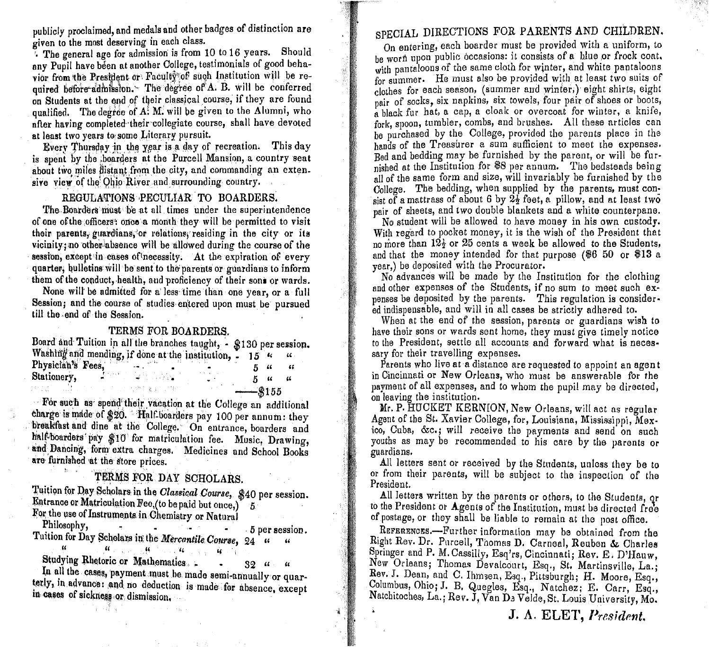publicly proclaimed, and medals and other badges of distinction are given to the most deserving in each class.

The general age for admission is from 10 to 16 years. Should any Pupil have been at another College, testimonials of good behavior from the President or Faculty of such Institution will be required before admission. The degree of A. B. will be conferred on Students at the end of their classical course, if they are found qualified. The degree of A. M. will be given to the Alumni, who after having completed their collegiate course, shall have devoted at least two years to some Literary pursuit.

Every Thursday in the year is a day of recreation. This day is spent by the boarders at the Purcell Mansion, a country seat about two miles distant from the city, and commanding an extensive view of the Ohio River and surrounding country.

#### REGULATIONS PECULIAR TO BOARDERS.

The Boarders must be at all times under the superintendence of one of the officers: once a month they will be permitted to visit their parents, guardians, or relations, residing in the city or its vicinity; no other absence will be allowed during the course of the session, except in cases of necessity. At the expiration of every quarter, bulletins will be sent to the parents or guardians to inform them of the conduct, health, and proficiency of their sons or wards.

None will be admitted for a less time than one year, or a full Session; and the course of studies entered upon must be pursued till the end of the Session.

#### TERMS FOR BOARDERS.

|                   | Board and Tuition in all the branches taught, - \$130 per session. |         |    |  |
|-------------------|--------------------------------------------------------------------|---------|----|--|
|                   | Washing and mending, if done at the institution, - 15 "            |         |    |  |
| Physician's Fees, |                                                                    |         | 44 |  |
|                   | Stationery, Allen March 2014                                       |         |    |  |
|                   | 2012年 - 山は、こうしょうしたんめをあげて?あ?                                        | $ R155$ |    |  |

For such as spend their vacation at the College an additional charge is made of \$20. Half-boarders pay 100 per annum: they breakfast and dine at the College. On entrance, boarders and half-boarders pay \$10 for matriculation fee. Music, Drawing, and Dancing, form extra charges. Medicines and School Books are furnished at the store prices.

### TERMS FOR DAY SCHOLARS.

Tuition for Day Scholars in the Classical Course, \$40 per session. Entrance or Matriculation Fee, (to be paid but once,)<sup>"</sup> 5 For the use of Instruments in Chemistry or Natural

Philosophy, 5 per session. Tuition for Day Scholars in the Mercantile Course, 24 "  $\mathcal{U}$  $\alpha$  $\mathbf{W}$  . The contribution of  $\mathbf{W}$  $\mathbf{G}$ 

Studying Rhetoric or Mathematics.  $32 - u - u$ 

In all the cases, payment must be made semi-annually or quarterly, in advance: and no deduction is made for absence, except in cases of sickness or dismission.

# SPECIAL DIRECTIONS FOR PARENTS AND CHILDREN.

On entering, each boarder must be provided with a uniform, to he worn upon public occasions: it consists of a blue or frock coat. with pantaloons of the same cloth for winter, and white pantaloons for summer. He must also be provided with at least two suits of clothes for each season, (summer and winter,) eight shirts, eight pair of socks, six napkins, six towels, four pair of shoes or boots, a black fur hat, a cap, a cloak or overcoat for winter, a knife, fork, spoon, tumbler, combs, and brushes. All these articles can be purchased by the College, provided the parents place in the hands of the Treasurer a sum sufficient to meet the expenses. Red and bedding may be furnished by the parent, or will be furnished at the Institution for \$8 per annum. The bedsteads being all of the same form and size, will invariably be furnished by the College. The bedding, when supplied by the parents, must consist of a mattrass of about 6 by  $2\frac{1}{2}$  feet, a pillow, and at least two pair of sheets, and two double blankets and a white counterpane.

No student will be allowed to have money in his own custody. With regard to pocket money, it is the wish of the President that no more than  $12\frac{1}{2}$  or 25 cents a week be allowed to the Students, and that the money intended for that purpose  $(\$650$  or \$13 a year,) be deposited with the Procurator.

No advances will be made by the Institution for the clothing and other expenses of the Students, if no sum to meet such expenses be deposited by the parents. This regulation is considered indispensable, and will in all cases be strictly adhered to.

When at the end of the session, parents or guardians wish to have their sons or wards sent home, they must give timely notice to the President, settle all accounts and forward what is necessary for their travelling expenses.

Parents who live at a distance are requested to appoint an agent in Cincinnati or New Orleans, who must be answerable for the payment of all expenses, and to whom the pupil may be directed. on leaving the institution.

Mr. P. HUCKET KERNION, New Orleans, will act as regular Agent of the St. Xavier College, for, Louisiana, Mississippi, Mexico, Cuba, &c.; will receive the payments and send on such vouths as may be recommended to his care by the parents or guardians.

All letters sent or received by the Students, unless they be to or from their parents, will be subject to the inspection of the President.

All letters written by the parents or others, to the Students, or to the President or Agents of the Institution, must be directed free of postage, or they shall be liable to remain at the post office.

REFERENCES.---Further information may be obtained from the Right Rev. Dr. Purcell, Thomas D. Carneal, Reuben & Charles Springer and P. M. Cassilly, Esq'rs, Cincinnati; Rev. E. D'Hauw, New Orleans; Thomas Devalcourt, Esq., St. Martinsville, La.; Rev. J. Dean, and C. Ihmsen, Esq., Pittsburgh; H. Moore, Esq., Columbus, Ohio; J. B. Quegles, Esq., Natchez; E. Carr, Esq., Natchitoches, La.; Rev. J, Van De Velde, St. Louis University, Mo.

#### J. A. ELET, President.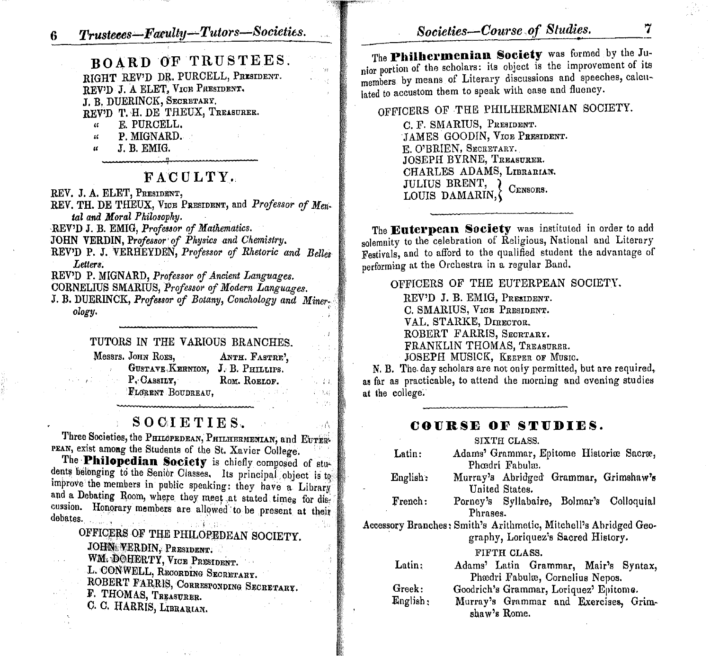BOARD OF TRUSTEES. RIGHT REV'D DR. PURCELL, PRESIDENT. REV'D J. A ELET, VICE PRESIDENT. J. B. DUERINCK, SECRETARY. REV'D T. H. DE THEUX, TREASURER. E. PURCELL.  $\mathfrak{c}$ 

- P. MIGNARD.  $\boldsymbol{\mathcal{U}}$
- J. B. EMIG.  $\boldsymbol{\mu}$

### FACULTY.

REV. J. A. ELET, PRESIDENT,

REV. TH. DE THEUX, VICE PRESIDENT, and Professor of Mental and Moral Philosophy.

REV'D J. B. EMIG. Professor of Mathematics.

JOHN VERDIN, Professor of Physics and Chemistry.

REV'D P. J. VERHEYDEN, Professor of Rhetoric and Belles Letters.

REV'D P. MIGNARD, Professor of Ancient Languages.

CORNELIUS SMARIUS, Professor of Modern Languages.

J. B. DUERINCK, Professor of Botany, Conchology and Minerology.

#### TUTORS IN THE VARIOUS BRANCHES.

| Messrs. JOHN ROES,               | ANTH. FASTRE'.  |
|----------------------------------|-----------------|
| GUSTAVE KERNION, J. B. PHILLIPS. |                 |
| P. CASSILY,                      | ROM. ROELOF.    |
| FLORENT BOUDREAU,                | a mena de la pa |

 $-44$ 

1533  $\rightarrow$  ,

### SOCIETIES.

Three Societies, the PHILOPEDEAN, PHILHERMENIAN, and EUTER-PEAN, exist among the Students of the St. Xavier College.

The Philopedian Society is chiefly composed of students belonging to the Senior Classes. Its principal object is to improve the members in public speaking: they have a Library and a Debating Room, where they meet at stated times for discussion. Honorary members are allowed to be present at their debates. **SERED** Na.

OFFICERS OF THE PHILOPEDEAN SOCIETY. JOHN WERDIN, PRESIDENT. WM. DOHERTY, VICE PRESIDENT. L. CONWELL, RECORDING SECRETARY. ROBERT FARRIS, CORRESPONDING SECRETARY. F. THOMAS, TREASURER. C. C. HARRIS, LIBRARIAN.

The Philhermenian Society was formed by the Junior portion of the scholars: its object is the improvement of its members by means of Literary discussions and speeches, calculated to accustom them to speak with ease and fluency.

OFFICERS OF THE PHILHERMENIAN SOCIETY.

C. F. SMARIUS, PRESIDENT. JAMES GOODIN, VICE PRESIDENT. E. O'BRIEN, SECRETARY. JOSEPH BYRNE, TREASURER. CHARLES ADAMS, LIBRARIAN. JULIUS BRENT, } CENSORS. LOUIS DAMARIN,

The Euterpean Society was instituted in order to add solemnity to the celebration of Religious, National and Literary Festivals, and to afford to the qualified student the advantage of nerforming at the Orchestra in a regular Band.

OFFICERS OF THE EUTERPEAN SOCIETY.

REV'D J. B. EMIG, PRESIDENT. C. SMARIUS, VICE PRESIDENT. VAL. STARKE, DIRECTOR. ROBERT FARRIS, SECRTARY. FRANKLIN THOMAS, TREASURER. JOSEPH MUSICK, KEEPER OF MUSIC.

N. B. The day scholars are not only permitted, but are required, as far as practicable, to attend the morning and evening studies at the college.

#### COURSE OF STUDIES.

|          | SIXTH CLASS.                                                                                                           |
|----------|------------------------------------------------------------------------------------------------------------------------|
| Latin:   | Adams' Grammar, Epitome Historiæ Sacræ,<br>Phœdri Fabulæ.                                                              |
| English: | Murray's Abridged Grammar, Grimshaw's<br>United States.                                                                |
| French:  | Porney's Syllabaire, Bolmar's Colloquial<br>Phrases.                                                                   |
|          | Accessory Branches: Smith's Arithmetic, Mitchell's Abridged Geo-<br>graphy, Loriquez's Sacred History.<br>FIFTH CLASS. |
| Latin;   | Adams' Latin Grammar, Mair's Syntax,<br>Phædri Fabulæ, Cornelius Nepos.                                                |
| Greek:   | Goodrich's Grammar, Loriquez' Epitome.                                                                                 |
| English: | Murray's Grammar and Exercises, Grim-<br>shaw's Rome.                                                                  |

7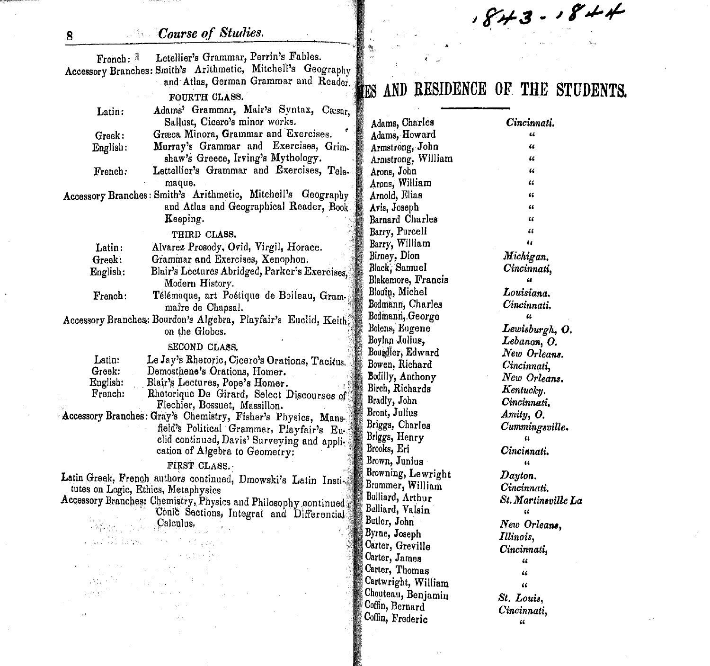$843 - 844$ *Course of Studies.* 군<sub>도</sub> French: Letellier's Grammar, Perrin's Fables. Accessory Branches: Smith's Arithmetic, Mitchell's Geography and' Atlas, German Grammar and Reader. **AND RESIDENCE OF THE STUDENTS,** FOURTH CLASS. Adams' Grammar, Mair's Syntax, Cæsar. Sallust, Cicero's minor works. ' Adams, Charles *Cincinnati.* Græca Minora, Grammar and Exercises. Adams, Howard "<br>" Murray's Grammar and Exercises, Grim. Armstrong, John shaw's Greece, Irving's Mythology. Armstrong, William  $\epsilon$ Arons, John Lettellicr's Grammar and Exercises, Tele. " "<br>" Arons, William maque. "<br>" Accessory Branches: Smith's Arithmetic, Mitchell's Geography Arnold, Elias  $"$ and Atlas and Geographical Reader, Book Avis, Joseph Barnard Charles Keeping.  $\alpha$ 

THIRD CLASS.

Latin:

8

Greek: English:

French:

. al Sima

Latin: Alvarez Prosody. Ovid, Virgil, Horace.

Greek: Grammar and Exercises, Xenophon.

English: Blair's Lectures Abridged, Parker's Exercises Modern History.

French: Télémaque, art Poétique de Boileau, Grammai're de Chapsal.

Accessory Branches: Bourdon's Algebra, Playfair's Euclid, Keith on the Globes.

SECOND CLASS.

| Latin:   | Le Jay's Rhetoric, Cicero's Orations, Tacitus.                |
|----------|---------------------------------------------------------------|
| Greek:   | Demosthene's Orations, Homer.                                 |
| English: | Blair's Lectures, Pope's Homer.<br>лš                         |
| French:  | Rhetorique De Girard, Select Discourses of                    |
|          | Flechier, Bossuet, Massillon.                                 |
|          | Accessory Branches: Gray's Chemistry, Fisher's Physics, Mans- |

field's Political Grammar, Playfair's Euclid continued, Davis' Surveying and appli. cation of Algebra to Geometry:

#### FIRST CLASS.·

Latin Greek, French authors continued, Dmowski's Latin Insti. tutes on Logic, Ethics, Metaphysics

Accessory Branches: Chemistry, Physics and Philosophy continued Conic Sections, Integral and Differential ,9alculus.

I, "  $\alpha$ " *Dayton. Illinois,*  $\alpha$  $\alpha$  $\alpha'$ Barry, Purcell Barry, William Birney, Dion Black; Samuel Blakemore, Francis Blouin, Michel Bodmann, Charles Bodmann, George Bolens, Eugene Boylap ·Jullus, Bourdier, Edward Bowen, Richard Bodilly, Anthony Birch, Richards Bradly, John Brent, Julius Briggs, Charles Briggs, Henry Brooks, Eri Brown, Junius Browning, Lewright Brummer, William BUlIiard, Arthur BUlIiard, Valsin Butlor, John Byrne, Joseph Carter, Greville Carter, James Carter; Thomas Cartwright, William Chouteau, Benjamiu Coffin, Bernard Coffin, Frederic

" *New Orlean" Lewisburgh,* O. " *Lebanon, O.*  $New$  *Orleans. Cincinnati, New Orleans. Kentuclcy. Cincinnati. Amity, O. Cummingsville.*  $Cincinnati.$ *Cincinnati.*  $St.$ *Martineville* La *Michigan. Cincinnati,*  $L$ ouisiana. *Cincinnati. Cincinnati,* " *St. Louis, Cincinnati,*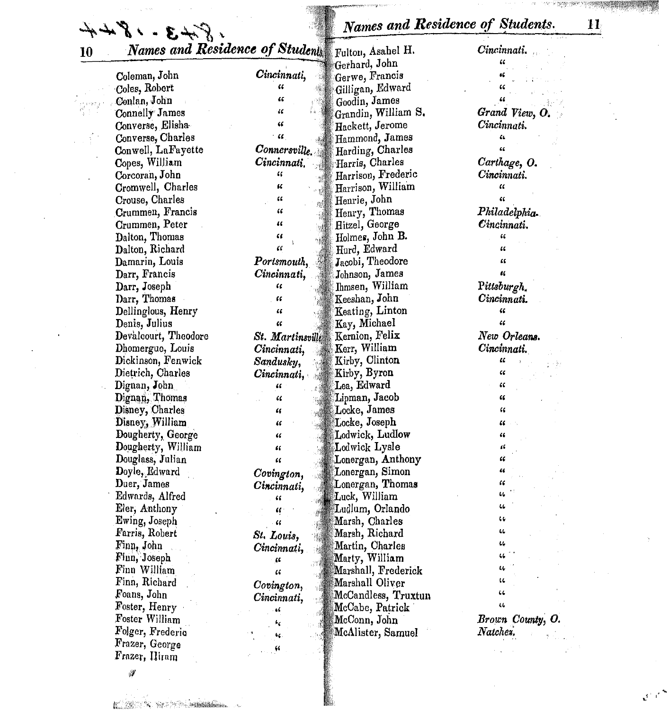Names and Residence of Students.

| 8.843.1844                                        |                  | Names and Residence of Students. |                  |
|---------------------------------------------------|------------------|----------------------------------|------------------|
| Names and Residence of Students Fulton, Asahel H. |                  |                                  | Cincinnati.      |
|                                                   |                  | Gerhard, John                    | "                |
| Coleman, John                                     | Cincinnati,      | Gerwe, Francis                   |                  |
| Coles, Robert                                     | 66               | Gilligan, Edward                 |                  |
| Conlan, John                                      | $\epsilon$       | Goodin, James                    |                  |
| Connelly James                                    | u                | Grandin, William S.              | Grand View, O.   |
| Converse, Elisha                                  | "                | Hackett, Jerome                  | $Cincinnati$ .   |
| Converse, Charles                                 | 46               | Hammond, James                   | 66               |
| Conwell, LaFayette                                | Connersville.    | Harding, Charles                 | 66               |
| Copes, William                                    | Cincinnati.      | Harris, Charles                  | Carthage, O.     |
| Corcoran, John                                    | $\epsilon$       | Harrison, Frederic               | Cincinnati.      |
| Cromwell, Charles                                 | 66               | Harrison, William                | $\alpha$         |
| Crouse, Charles                                   | 66               | Henrie, John                     | 66               |
| Crummen, Francis                                  | "                | Henry, Thomas                    | Philadelphia.    |
| Crummen, Peter                                    | $\epsilon$       | Hitzel, George                   | Cincinnati.      |
| Dalton, Thomas                                    | "                | Holmes, John B.                  | 66               |
| Dalton, Richard                                   | œ                | Hurd, Edward                     | 46               |
| Damarin, Louis                                    | Portsmouth,      | Jacobi, Theodore                 | 66               |
| Darr, Francis                                     | Cincinnati,      | Johnson, James                   | u                |
|                                                   | "                | Ihmsen, William                  | Pittsburgh.      |
| Darr, Joseph                                      | 66               |                                  | Cincinnati.      |
| Darr, Thomas                                      | "                | Keeshan, John                    | 66               |
| Dellinglous, Henry                                |                  | Keating, Linton                  | $\epsilon$       |
| Denis, Julius                                     | EC.              | Kay, Michael                     |                  |
| Devalcourt, Theodore                              | St. Martinsville | Kernion, Felix                   | New Orleans.     |
| Dhomergue, Louis                                  | Cincinnati,      | Kerr, William                    | Cincinnati.      |
| Dickinson, Fenwick                                | Sandusky,        | Kirby, Clinton                   | EC.              |
| Dietrich, Charles                                 | Cincinnati,      | Kirby, Byron                     | 66               |
| Dignan, John                                      | "                | Lea, Edward                      | $\epsilon$       |
| Dignan, Thomas                                    | "                | Lipman, Jacob                    | 46               |
| Disney, Charles                                   | 6                | Locke, James                     | "                |
| Disney, William                                   | $\epsilon$       | $\mathbb{L}$ ocke, Joseph        | 66               |
| Dougherty, George                                 | 66               | Lodwick, Ludlow                  | 66               |
| Dougherty, William                                | "                | Lodwick Lysle                    | 16               |
| Douglass, Julian                                  | "                | Lonergan, Anthony                | œ                |
| Doyle, Edward                                     | Covington,       | Lonergan, Simon                  | 44               |
| Duer, James                                       | Cincinnati,      | Lonergan, Thomas                 | 66               |
| Edwards, Alfred                                   | 46               | Luck, William                    | 46               |
| Eler, Anthony                                     | "                | Ludlum, Orlando                  | 46               |
| Ewing, Joseph                                     | $\epsilon$       | Marsh, Charles                   | 44               |
| Farris, Robert                                    | St. Louis,       | Marsh, Richard                   | 44               |
| Finn, John                                        | Cincinnati,      | Martin, Charles                  | 44               |
| Finn, Joseph                                      | ш                | Marty, William                   |                  |
| Finn William                                      | $\epsilon$       | Marshall, Frederick              | щ                |
| Finn, Richard                                     | Covington,       | Marshall Oliver                  | LL.              |
| Foans, John                                       | Cincinnati,      | McCandless, Truxtun              | 44               |
| Foster, Henry                                     | 46               | McCabe, Patrick                  | 44               |
| Foster William                                    |                  | McConn, John                     | Brown County, O. |
| Folger, Frederic                                  | ٠,               | McAlister, Samuel                | Natchez.         |
| Frazer, George                                    | 66               |                                  |                  |
| Frazer, Hiram                                     | 66               |                                  |                  |

ILLESS NEWSFILM

 $\mathcal{F}$ 

 $\zeta$  as

 $\mathcal{C}^{(n)}$ 

 $\overline{\mathbf{H}}$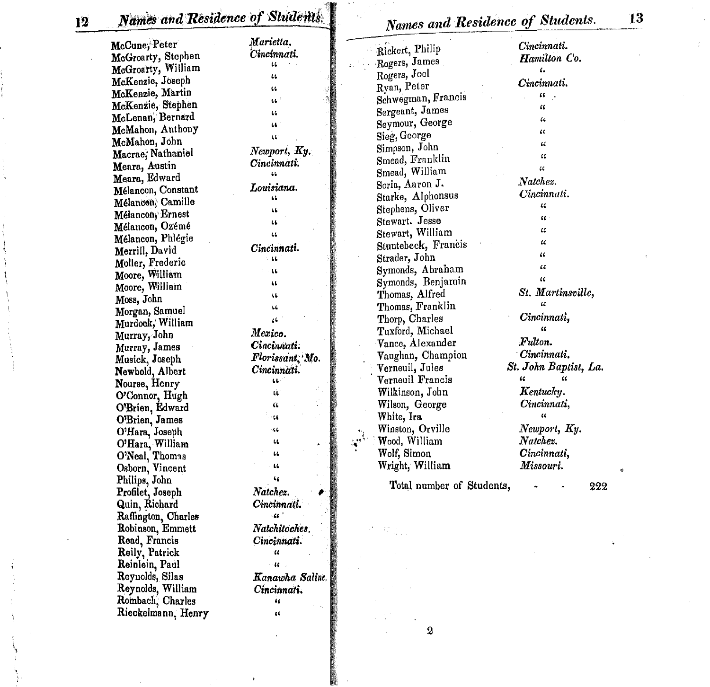Names and Residence of Students.

| McCune; Peter       | Marietta.                  | Rickert, Philip           | Cincinnati.              |
|---------------------|----------------------------|---------------------------|--------------------------|
| McGroarty, Stephen  | Cincinnati.                | Rogers, James             | Hamilton Co.             |
| McGroarty, William  | ίL.                        |                           | ι.                       |
| McKenzie, Joseph    | $\mathbf{u}$               | Rogers, Joel              | Cincinnati.              |
| McKenzie, Martin    | 66                         | Ryan, Peter               | $\alpha$ .               |
| McKenzie, Stephen   | $\mathbf{G}^{\mathcal{A}}$ | Schwegman, Francis        | $\alpha$                 |
| McLenan, Bernard    | $\mathbf{u}$               | Sergeant, James           | $\sqrt{6}$               |
| McMahon, Anthony    | $\mathbf{u}$               | Seymour, George           | $\alpha$                 |
| McMahon, John       | $\mathbf{G}$               | Sieg, George              |                          |
| Macrae, Nathaniel   | Newtonort, Ky.             | Simpson, John             | $\epsilon$               |
| Meara, Austin       | Cincinnati.                | Smead, Franklin           | $\alpha$                 |
|                     | $\mathbf{L}$               | Smead, William            | $\overline{\mathcal{L}}$ |
| Meara, Edward       | Louisiana.                 | Soria, Aaron J.           | Natchez.                 |
| Mélancon, Constant  | $\mathbf{G}$               | Starke, Alphonsus         | Cincinnati.              |
| Mélancon, Camille   | $\mathbf{G}$               | Stephens, Oliver          | $\mathcal{U}$            |
| Mélancon, Ernest    | 46                         | Stewart. Jesse            | $\alpha$                 |
| Mélancon, Ozémé     | $\mathfrak{c}$             | Stewart, William          | $\epsilon$               |
| Mélancon, Phlégie   | Cincinnati.                | Stuntebeck, Francis       | $\alpha$                 |
| Merrill, David      | $\overline{11}$            | Strader, John             | $\mathcal{U}$            |
| Moller, Frederic    | $\mathbf{G}$               | Symonds, Abraham          | $\epsilon$               |
| Moore, William      |                            | Symonds, Benjamin         | $\alpha$                 |
| Moore, William      | 46                         |                           | St. Martinsville,        |
| Moss, John          | u.                         | Thomas, Alfred            | $\overline{\mathcal{L}}$ |
| Morgan, Samuel      | 44                         | Thomas, Franklin          | Cincinnati,              |
| Murdock, William    | $\ddot{\phantom{a}}$       | Thorp, Charles            | έC                       |
| Murray, John        | Mexico.                    | Tuxford, Michael          |                          |
| Murray, James       | Cincinnati.                | Vance, Alexander          | Fulton.                  |
| Musick, Joseph      | Florissant, Mo.            | Vaughan, Champion         | Cincinnati.              |
| Newbold, Albert     | Cincinnati.                | Verneuil, Jules           | St. John Baptist, La.    |
| Nourse, Henry       | w                          | Verneuil Francis          | $\epsilon$<br>$\alpha$   |
| O'Connor, Hugh      | tù.                        | Wilkinson, John           | $K$ entuc $k\eta$ .      |
| O'Brien, Edward     | Ù.                         | Wilson, George            | Cincinnati,              |
| O'Brien, James      | $-14$                      | White, Ira                | $\alpha$                 |
| O'Hara, Joseph      | $\ddot{\phantom{a}}$       | Winston, Orville          | Newport, Ky.             |
| O'Hara, William     | 11                         | Wood, William             | Natchez.                 |
| O'Neal, Thomas      | $\ddot{\phantom{a}}$       | Wolf, Simon               | Cincinnati,              |
| Osborn, Vincent     | $\mathbf{u}$               | Wright, William           | Missouri.                |
| Philips, John       | 46                         |                           |                          |
| Profilet, Joseph    | Natchez.                   | Total number of Students, | 222                      |
|                     | Cincinnati.                |                           |                          |
| Quin, Richard       | $\mathbf{G}^{\mathcal{A}}$ |                           |                          |
| Raffington, Charles |                            |                           |                          |
| Robinson, Emmett    | Natchitoches.              |                           |                          |
| Read, Francis       | Cincinnati.                |                           |                          |
| Reily, Patrick      | $\pmb{\mathcal{U}}$        |                           |                          |
| Reinlein, Paul      | $-46 - 1$                  |                           |                          |
| Reynolds, Silas     | Kanawha Saline.            |                           |                          |
| Reynolds, William   | Cincinnati.                |                           |                          |
| Rombach, Charles    | ü                          |                           |                          |
| Riegkelmann Henry   | $\overline{1}$             |                           |                          |

 $\pmb{2}$ 

 $\frac{13}{1}$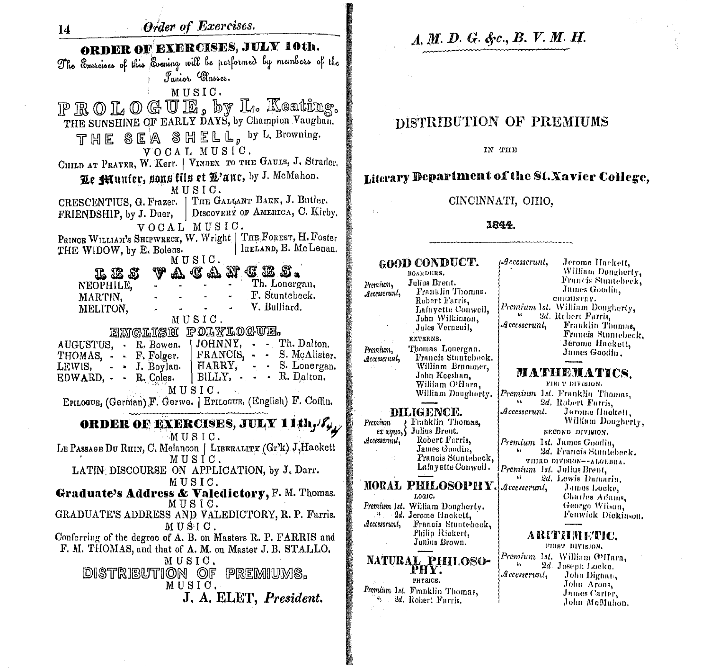

# A. M. D. G. &c., B. V. M. H.

## DISTRIBUTION OF PREMIUMS

IN THE

### Literary Department of the St. Xavier College.

CINCINNATI, OHIO,

#### 1844.

GOOD CONDUCT. BOARDERS, Julius Brent. Premium, Franklin Thomas. Accesserunt, Robert Farris. Lafayette Conwell, John Wilkinson, Jules Verneuil, EXTERNS. Thomas Lonergan. Premium, Francis Stuntebeck. Accesserunt, William Brummer, John Keeshan, William O'Hara, William Dougherty. DILIGENCE. Franklin Thomas, Premium Julius Brent.  $ex$  way  $\zeta$ Robert Farris, Accesserunt. James Goodin, Francis Stuntebeck, Lafayette Conwell. MORAL PHILOSOPHY. LOGIC. Premium 1st. William Dougherty.

4 2d. Jerome Hnokett. Francis Stuntebeck,  $\mathcal{A}$ ccesserunt, Philip Rickert,

Junius Brown.

NATURAL PHILOSO-<br>PHY. PHYSICS. Premium 1st. Franklin Thomas, " 2d. Robert Farris.

| $\mathcal{A}\mathit{c} \mathit{c} \mathit{c} \mathit{s} \mathit{c} \mathit{r} \mathit{u} \mathit{n} \mathit{l},$ | Jerome Hackett,<br>William Dongherty, |
|------------------------------------------------------------------------------------------------------------------|---------------------------------------|
|                                                                                                                  | Francis Stuntebeck,                   |
|                                                                                                                  | James Goodin.                         |
|                                                                                                                  | CHEMISTRY.                            |
|                                                                                                                  | Premium 1st. William Dougherty,       |
|                                                                                                                  | 2d. Rebert Farris,                    |
| $\mathcal{A}$ ccesscrunt,                                                                                        | Franklin Thomas,                      |
|                                                                                                                  | Francis Stantebeck.                   |
|                                                                                                                  | Jerome Hackett,                       |
|                                                                                                                  | James Goodin.                         |

#### NATHEMATICS.

FIRET DIVISION. Premium 1st. Franklin Thomas.  $\overline{1}$ 2d. Robert Farris. Accesserunt. Jerome Hackett. William Dougherty, SECOND DIVISION. Premium 1st. James Goodin. 2d. Francis Stuntebeck. THIRD DIVISION--ALGEBRA. Premium 1st. Julius Brent, 2d. Lewis Damarin. Accesserunt. James Locke, Charles Adams. George Wilson. Fenwick Dickinson.

A RETHEMETHE.

FIRST DIVISION. Premium 1st. William G'Hara. 2d. Joseph Locke.  $\mathbf{u}$ Accesserunt, John Dignan, John Arons. James Carter, John McMahon.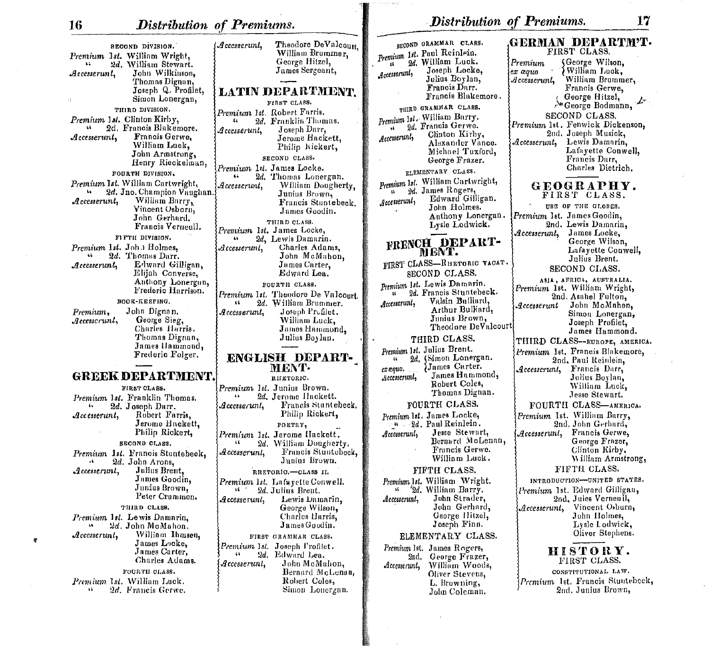(Accesserunt.

SECOND DIVISION. Premium 1st. William Wright. 2d. William Stewart.  $\mathbf{R}$ John Wilkinson. Accesserunt. Thomas Dignan, Joseph Q. Profilet. Simon Lonergan, THIRD DIVISION. Premium 1st. Clinton Kirby, 2d. Francis Blakemore. Francis Gerwe.  ${\cal A}$ ccesserunt, William Luck, John Armstrong, Henry Ricckelman, FOURTH DIVISION, Premium Ist. William Cartwright. 2d. Jno. Champion Vaughan William Barry, Accesserunt. Vincent Osborn, John Gerhurd. Francis Verneuil. FIFTH DIVISION. Premium 1st. John Holmes. ss. 2d. Thomas Darr. Edward Gilligan,  ${\it Accesserunt}$ , Elijah Converse. Anthony Lonergin, Frederic Harrison. BOOK-KEEPING. John Dignan. Premium, George Sieg,  $\mathcal{A}$ ccesserun $l,$ Charles Harris. Thomas Dignan, James Hammond, Frederic Folger. **GREEK DEPARTMENT** FIRST CLASS. Premium 1st. Franklin Thomas.

2d. Joseph Darr.  $\mathbf{A}$ Robert Farris.  $\boldsymbol{\mathcal{A}}$ ccesserunt. Jerome Hackett. Philip Rickert, SECOND CLASS. Premium 1st. Francis Stuntebeck, 2d. John Arons.  $\mathbf{16}$ Julius Brent.  ${\it 4}$ ccesserunt, James Goodin. Junius Brown, Peter Crummen. THIRD CLASS. Premium 1st. Lewis Damarin. ь. 2d. John McMahon. William Ihmsen.  ${\mathcal{A}}$ ccesserunt, James Locke. James Carter. Charles Adams. FOURTH CLASS. Premium 1st. William Luck. 2d. Francis Gerwe.  $\Lambda$ 

ø

William Brummer, George Hitzel. James Sergeant, **LATIN DEPARTMENT** FIRST CLASS. Premium 1st. Robert Farris. 2d. Franklin Thomas. Joseph Darr, Accesserunt, Jerome Hackett. Philip Kickert, SECOND CLASS. Premium 1st. James Locke. 2d. Thomas Lonergan.  $\bullet$ William Dougherty, Accesserunt. Junius Brown, Francis Stuntebeck. James Goodin. THIRD CLASS. Premium 1st. James Locke, 2d, Lewis Damarin.  $\omega$ Charles Adams,  $Accesserunl$ . John McMahon. James Carter, Edward Lea. FOURTH CLASS. Premium 1st. Theodore De Valcourt. 2d. William Brummer. Joseph Profilet. Accesserunt, William Luck, James Hammond, Julius Boylan. ENGLISH DEPART-MENT-RIIETORIC. Premium 1st. Junius Brown. 2d. Jerome Hackett. Accesserunt, Francis Stuntebeck. Philip Rickert, POETRY. Premium 1st. Jerome Hackett.  $\mathbf{G}$ 2d. William Dougherty.  $\emph{Accesscrunl.}$ Francis Stuntebeck, Junius Brown. RHETORIC.-CLASS II. Premium 1st. Lafavette Conwell.  $16-2$ 2d. Julius Brent. Accesserunt. Lewis Damarin. George Wilson, Charles Harris. James Goodin. FIRST GRAMMAR CLASS. Joseph Profilet. Premium 1st.  $\ddot{\phantom{a}}$  $2d$ Edward Lea. John McMahon. Accesserunt. Bernard McLenan, Robert Coles, Simon Lonergan.

Theodore DeValcourt.

| SECOND GRAMMAR CLASS.                                                                                                                                                   | GERMAN DEPARTM'T•<br>FIRST CLASS.                                   |
|-------------------------------------------------------------------------------------------------------------------------------------------------------------------------|---------------------------------------------------------------------|
| Premium 1st. Paul Reinlein.                                                                                                                                             |                                                                     |
| 2d. William Luck.<br>u, Joseph Locke,<br>tt.                                                                                                                            | (George Wilson,<br>Premium                                          |
| Accesserunt,                                                                                                                                                            | William Luck,<br>ex æquo                                            |
| Julius Boylan,                                                                                                                                                          | William Brummer,<br>${\it 4}$ ccesserunt,                           |
| Francis Darr.<br>Francis Blakemore.                                                                                                                                     | Francis Gerwe,                                                      |
|                                                                                                                                                                         | George Hitzel,                                                      |
| THIRD GRAMMAR CLASS.                                                                                                                                                    | <sup>N</sup> George Bodmann,                                        |
| Premium 1st. William Barry.                                                                                                                                             | SECOND CLASS.                                                       |
| 2d. Francis Gerwe.                                                                                                                                                      | Premium 1st. Fenwick Dickenson,                                     |
| Clinton Kirby,<br>Accesserunt,                                                                                                                                          | 2nd. Joseph Musick,                                                 |
| Alexander Vance.                                                                                                                                                        | Lewis Damarin,<br>${\mathcal{A}}$ ccesserunt,<br>Lafayette Conwell, |
| Michael Tuxford,                                                                                                                                                        | Francis Darr,                                                       |
| George Frazer.                                                                                                                                                          | Charles Dietrich.                                                   |
| ELEMENTARY CLASS.                                                                                                                                                       |                                                                     |
| Premium 1st. William Cartwright,                                                                                                                                        | GEOGRAPHY.                                                          |
| 2d. James Rogers,                                                                                                                                                       | FIRST CLASS.                                                        |
| Edward Gilligan.<br>Accesserunt,                                                                                                                                        | USE OF THE GLOBES.                                                  |
| John Holmes.                                                                                                                                                            |                                                                     |
| Anthony Lonergan.<br>Lysle Lodwick.                                                                                                                                     | Premium 1st. James Goodin,<br>2nd. Lewis Damarin,                   |
|                                                                                                                                                                         | James Locke,<br>$\mathcal{A}c\mathit{cessernn},$                    |
| FRENCH DEPART-                                                                                                                                                          | George Wilson,                                                      |
| MENT.                                                                                                                                                                   | Lafayette Conwell,                                                  |
|                                                                                                                                                                         | Julius Brent.                                                       |
| FIRST CLASS-RHETORIC VACAT.                                                                                                                                             | SECOND CLASS.                                                       |
| SECOND CLASS.                                                                                                                                                           | ASIA, AFRICA, AUSTRALIA.                                            |
| Premium 1st. Lewis Damarin.                                                                                                                                             | Premium 1st. William Wright,                                        |
| 2d. Francis Stuntebeck.                                                                                                                                                 | 2nd. Asahel Fulton,                                                 |
| Valsin Bulliard,<br>${\mathcal{A}}_{{\mathcal{C}}{\mathcal{C}}{\mathcal{C}}{\mathcal{S}}{\mathcal{S}}{\mathcal{C}}{\mathcal{C}}{\mathcal{C}}{\mathcal{C}}{\mathcal{C}}$ | John McMahon,<br>${\mathcal{A}}{}c\textit{c}es\textit{erunt}$       |
| Arthur Bulliard,                                                                                                                                                        | Simon Lonergan,                                                     |
| Junius Brown,<br>Theodore DeValcourt                                                                                                                                    | Joseph Profilet,                                                    |
|                                                                                                                                                                         | James Hammond.                                                      |
| THIRD CLASS.                                                                                                                                                            | THIRD CLASS--EUROPE, AMERICA.                                       |
| Premium 1st. Julius Brent.                                                                                                                                              | Premium 1st. Francis Blakemore,                                     |
| 2d. (Simon Lonergan.<br>44                                                                                                                                              | 2nd, Paul Reinlein,                                                 |
| James Carter.<br>ex æquo.                                                                                                                                               | Francis Darr,<br>${\mathcal{A}}\textit{ccesserunl},$                |
| James Hammond,<br>Accesserunt,                                                                                                                                          | Julius Boylan,                                                      |
| Robert Coles,<br>Thomas Dignan.                                                                                                                                         | William Luck,                                                       |
|                                                                                                                                                                         | Jesse Stewart.                                                      |
| FOURTH CLASS.                                                                                                                                                           | FOURTH CLASS-AMERICA.                                               |
| Premium lat. James Locke,                                                                                                                                               | Premium 1st. William Barry,<br>2nd. John Gerhard,                   |
| 4 2d. Paul Reinlein.                                                                                                                                                    |                                                                     |
| Jesse Stewart,<br>Accesserunt,                                                                                                                                          | Francis Gerwe,<br>${\cal A}$ ccesserun ${\cal U} ,$                 |
| Bernard McLenan,<br>Francis Gerwe.                                                                                                                                      | George Frazer,                                                      |
| William Luck.                                                                                                                                                           | Clinton Kirby,<br>William Armstrong,                                |
|                                                                                                                                                                         |                                                                     |
| FIFTII CLASS.                                                                                                                                                           | FIFTH CLASS.                                                        |
| Premium 1st. William Wright.                                                                                                                                            | INTRODUCTION-UNITED STATES.                                         |
| 2d. William Barry.<br>м.                                                                                                                                                | Premium 1st. Edward Gilligan,                                       |
| John Strader,<br>Accesserunt,                                                                                                                                           | 2nd, Jules Verneuil,                                                |
| John Gerhard,                                                                                                                                                           | Vincent Osburn,<br>$\mathcal{A}$ ccesscrunt,                        |
| George Hitzel,<br>Joseph Finn.                                                                                                                                          | John Holmes,<br>Lysle Lodwick,                                      |
|                                                                                                                                                                         | Oliver Stephens.                                                    |
| ELEMENTARY CLASS.                                                                                                                                                       |                                                                     |
| Premium Ist. James Rogers,                                                                                                                                              | HISTORY.                                                            |
| George Frazer,<br>2nd,<br>William Woods,                                                                                                                                | FIRST CLASS.                                                        |
| $\mathcal{A}$ ccesserunt,<br>Oliver Stevens,                                                                                                                            | CONSTITUTIONAL LAW.                                                 |
| L. Browning,                                                                                                                                                            | Premium 1st. Francis Stuntebeck,                                    |
| John Coleman.                                                                                                                                                           | 2nd. Junius Brown,                                                  |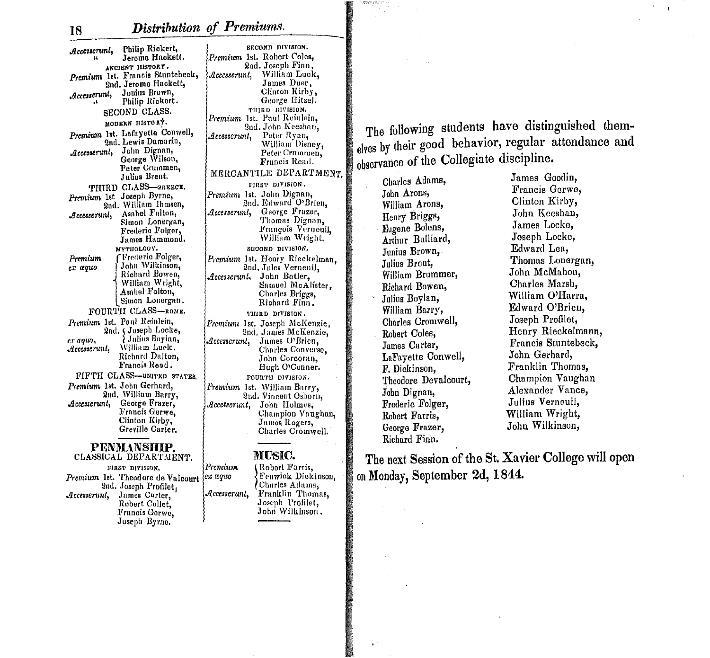${\mathcal{A}}$ ccenerunt, Philip Rickert, Jerome Hackett. ANCIENT HISTORY. Premium 1st. Francis Stuntebeck. 2nd. Jerome Hackett, Junius Brown,  $\mathcal{A}c\epsilon$ esserun $l_1$ Philip Rickert. SECOND CLASS. MODERN HISTORY. Premium 1st. Lafayette Conwell, 2nd. Lewis Damarin, John Dignan, Accesseruni, George Wilson, Peter Crummen, Julius Brent. THIRD CLASS-GREECE. Premium 1st Joseph Byrne, 2nd. William Ihmsen, Asahel Fulton, Accesserunt, Simon Lonergan, Frederic Folger, James Hammond. MYTHOLOGY. Frederic Folger, Premium John Wilkinson, ex æquo Richard Bowen. William Wright, Asahel Fulton, Simon Lonergan. FOURTH CLASS-ROME. Premium 1st. Paul Reinlein. 2nd. (Joseph Locke, Julius Boylan, ex aquo, William Luck.  $Accesserunt$ , Richard Dalton, Francis Read. FIFTH CLASS-UNITED STATES Premium 1st. John Gerhard. 2nd. William Barry, George Frazer,  $\mathcal{A}$ ccesserunt, Francis Gerwe. Clinton Kirby, Greville Carter.

#### **PENMANSHIP.** CLASSICAL DEPARTMENT. FIRST DIVISION. Premium Premium 1st. Theodore de Valcourt ex œquo 2nd. Joseph Profilet. Accesserunt, Accesserunt, James Carter, Robert Collet. Francis Gerwe. Joseph Byrne.

SECOND DIVISION. Premium 1st. Robert Coles. 2nd. Joseph Finn. Accesserunt, William Luck, James Duer, Clinton Kirby, George Hitzel. THIRD DIVISION. Premium 1st. Paul Reinlein. 2nd. John Keeshan. Peter Ryan,  ${\mathcal{A}}$ ccesserunt, William Disney, Peter Crummen. Francis Read. MERCANTILE DEPARTMENT FIRST DIVISION. Premium 1st. John Dignan, 2nd. Edward O'Brien,  ${\mathcal{A}}{}c$ cesserunt, George Frazer, Thomas Dignan, François Verneuil. William Wright. SECOND DIVISION. Premium 1st. Henry Rieckelman, 2nd. Jules Verneuil.  ${\mathcal{A}}c\bar{c}esserunt.$ John Batler, Samuel McAlister. Charles Briggs, Richard Finn. THIRD DIVISION. Premium 1st. Joseph McKenzie, 2nd, James McKenzie, James O'Brien,  $\mathcal{A}$ ccesserun $l,$ Charles Converse, John Corcoran, Hugh O'Conner. FOURTH DIVISION. Premium 1st. William Barry, 2nd. Vincent Osborn, Accesserunt, John Holmes, Champion Vaughan, James Rogers, Charles Cromwell.

### MUSIC.

(Robert Farris, Fenwick Dickinson. Charles Adams, Franklin Thomas, Joseph Profilet, John Wilkinson.

The following students have distinguished themelves by their good behavior, regular attendance and observance of the Collegiate discipline.

Charles Adams, John Arons, William Arons, Henry Briggs, Eugene Bolens, Arthur Bulliard, Junius Brown, Julius Brent, William Brummer, Richard Bowen, Julius Boylan, William Barry, Charles Cromwell, Robert Coles, James Carter, LaFavette Conwell, F. Dickinson, Theodore Devalcourt, John Dignan, Frederic Folger, Robert Farris, George Frazer, Richard Finn.

James Goodin, Francis Gerwe, Clinton Kirby, John Keeshan, James Locke, Joseph Locke, Edward Lea, Thomas Lonergan, John McMahon, Charles Marsh, William O'Harra, Edward O'Brien, Joseph Profilet, Henry Rieckelmann, Francis Stuntebeck, John Gerhard, Franklin Thomas, Champion Vaughan Alexander Vance. Julius Verneuil, William Wright, John Wilkinson,

The next Session of the St. Xavier College will open on Monday, September 2d, 1844.